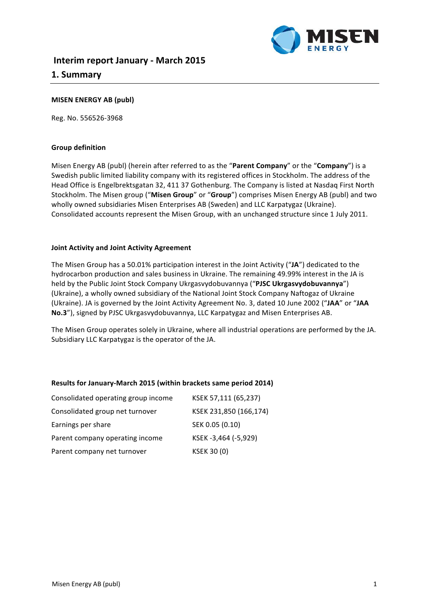

# **MISEN ENERGY AB (publ)**

Reg. No. 556526-3968

#### **Group definition**

Misen Energy AB (publ) (herein after referred to as the "Parent Company" or the "Company") is a Swedish public limited liability company with its registered offices in Stockholm. The address of the Head Office is Engelbrektsgatan 32, 411 37 Gothenburg. The Company is listed at Nasdaq First North Stockholm. The Misen group ("Misen Group" or "Group") comprises Misen Energy AB (publ) and two wholly owned subsidiaries Misen Enterprises AB (Sweden) and LLC Karpatygaz (Ukraine). Consolidated accounts represent the Misen Group, with an unchanged structure since 1 July 2011.

#### **Joint Activity and Joint Activity Agreement**

The Misen Group has a 50.01% participation interest in the Joint Activity ("JA") dedicated to the hydrocarbon production and sales business in Ukraine. The remaining 49.99% interest in the JA is held by the Public Joint Stock Company Ukrgasvydobuvannya ("PJSC Ukrgasvydobuvannya") (Ukraine), a wholly owned subsidiary of the National Joint Stock Company Naftogaz of Ukraine (Ukraine). JA is governed by the Joint Activity Agreement No. 3, dated 10 June 2002 ("JAA" or "JAA No.3"), signed by PJSC Ukrgasvydobuvannya, LLC Karpatygaz and Misen Enterprises AB.

The Misen Group operates solely in Ukraine, where all industrial operations are performed by the JA. Subsidiary LLC Karpatygaz is the operator of the JA.

## **Results for January-March 2015 (within brackets same period 2014)**

| Consolidated operating group income | KSEK 57,111 (65,237)   |
|-------------------------------------|------------------------|
| Consolidated group net turnover     | KSEK 231,850 (166,174) |
| Earnings per share                  | SEK 0.05 (0.10)        |
| Parent company operating income     | KSEK-3,464 (-5,929)    |
| Parent company net turnover         | <b>KSEK 30 (0)</b>     |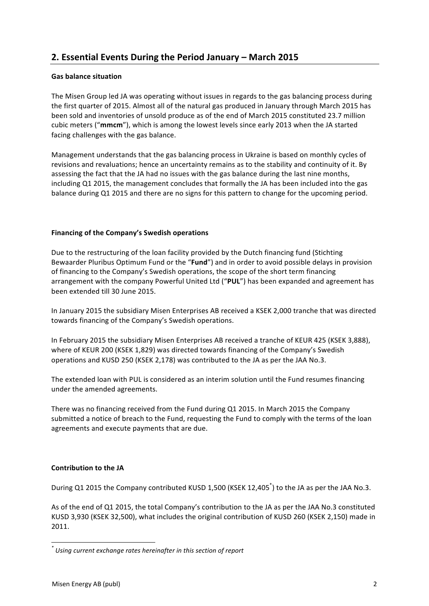# **2. Essential Events During the Period January – March 2015**

# **Gas balance situation**

The Misen Group led JA was operating without issues in regards to the gas balancing process during the first quarter of 2015. Almost all of the natural gas produced in January through March 2015 has been sold and inventories of unsold produce as of the end of March 2015 constituted 23.7 million cubic meters ("mmcm"), which is among the lowest levels since early 2013 when the JA started facing challenges with the gas balance.

Management understands that the gas balancing process in Ukraine is based on monthly cycles of revisions and revaluations; hence an uncertainty remains as to the stability and continuity of it. By assessing the fact that the JA had no issues with the gas balance during the last nine months, including Q1 2015, the management concludes that formally the JA has been included into the gas balance during Q1 2015 and there are no signs for this pattern to change for the upcoming period.

# Financing of the Company's Swedish operations

Due to the restructuring of the loan facility provided by the Dutch financing fund (Stichting Bewaarder Pluribus Optimum Fund or the "**Fund**") and in order to avoid possible delays in provision of financing to the Company's Swedish operations, the scope of the short term financing arrangement with the company Powerful United Ltd ("PUL") has been expanded and agreement has been extended till 30 June 2015.

In January 2015 the subsidiary Misen Enterprises AB received a KSEK 2,000 tranche that was directed towards financing of the Company's Swedish operations.

In February 2015 the subsidiary Misen Enterprises AB received a tranche of KEUR 425 (KSEK 3,888), where of KEUR 200 (KSEK 1,829) was directed towards financing of the Company's Swedish operations and KUSD 250 (KSEK 2,178) was contributed to the JA as per the JAA No.3.

The extended loan with PUL is considered as an interim solution until the Fund resumes financing under the amended agreements.

There was no financing received from the Fund during Q1 2015. In March 2015 the Company submitted a notice of breach to the Fund, requesting the Fund to comply with the terms of the loan agreements and execute payments that are due.

# **Contribution to the JA**

During Q1 2015 the Company contributed KUSD 1,500 (KSEK 12,405<sup>\*</sup>) to the JA as per the JAA No.3.

As of the end of Q1 2015, the total Company's contribution to the JA as per the JAA No.3 constituted KUSD 3,930 (KSEK 32,500), what includes the original contribution of KUSD 260 (KSEK 2,150) made in 2011. 

<u> Andreas Andreas Andreas Andreas Andreas Andreas Andreas Andreas Andreas Andreas Andreas Andreas Andreas Andreas</u>

*<sup>\*</sup> Using current exchange rates hereinafter in this section of report*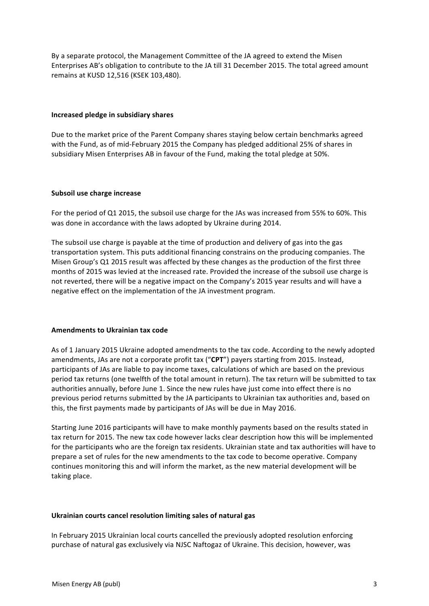By a separate protocol, the Management Committee of the JA agreed to extend the Misen Enterprises AB's obligation to contribute to the JA till 31 December 2015. The total agreed amount remains at KUSD 12,516 (KSEK 103,480).

## **Increased pledge in subsidiary shares**

Due to the market price of the Parent Company shares staying below certain benchmarks agreed with the Fund, as of mid-February 2015 the Company has pledged additional 25% of shares in subsidiary Misen Enterprises AB in favour of the Fund, making the total pledge at 50%.

#### **Subsoil use charge increase**

For the period of Q1 2015, the subsoil use charge for the JAs was increased from 55% to 60%. This was done in accordance with the laws adopted by Ukraine during 2014.

The subsoil use charge is payable at the time of production and delivery of gas into the gas transportation system. This puts additional financing constrains on the producing companies. The Misen Group's  $Q1$  2015 result was affected by these changes as the production of the first three months of 2015 was levied at the increased rate. Provided the increase of the subsoil use charge is not reverted, there will be a negative impact on the Company's 2015 year results and will have a negative effect on the implementation of the JA investment program.

## **Amendments to Ukrainian tax code**

As of 1 January 2015 Ukraine adopted amendments to the tax code. According to the newly adopted amendments, JAs are not a corporate profit tax ("CPT") payers starting from 2015. Instead, participants of JAs are liable to pay income taxes, calculations of which are based on the previous period tax returns (one twelfth of the total amount in return). The tax return will be submitted to tax authorities annually, before June 1. Since the new rules have just come into effect there is no previous period returns submitted by the JA participants to Ukrainian tax authorities and, based on this, the first payments made by participants of JAs will be due in May 2016.

Starting June 2016 participants will have to make monthly payments based on the results stated in tax return for 2015. The new tax code however lacks clear description how this will be implemented for the participants who are the foreign tax residents. Ukrainian state and tax authorities will have to prepare a set of rules for the new amendments to the tax code to become operative. Company continues monitoring this and will inform the market, as the new material development will be taking place.

## Ukrainian courts cancel resolution limiting sales of natural gas

In February 2015 Ukrainian local courts cancelled the previously adopted resolution enforcing purchase of natural gas exclusively via NJSC Naftogaz of Ukraine. This decision, however, was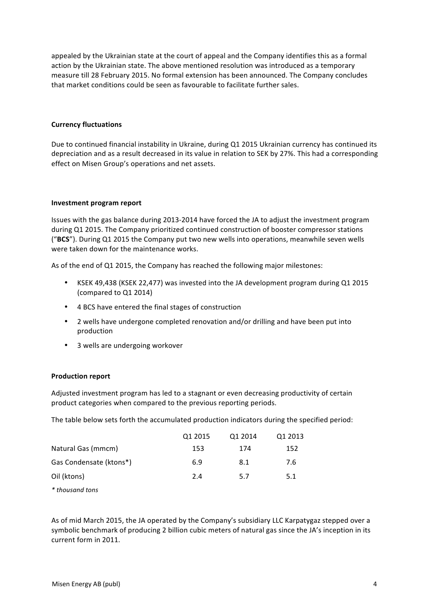appealed by the Ukrainian state at the court of appeal and the Company identifies this as a formal action by the Ukrainian state. The above mentioned resolution was introduced as a temporary measure till 28 February 2015. No formal extension has been announced. The Company concludes that market conditions could be seen as favourable to facilitate further sales.

## **Currency fluctuations**

Due to continued financial instability in Ukraine, during Q1 2015 Ukrainian currency has continued its depreciation and as a result decreased in its value in relation to SEK by 27%. This had a corresponding effect on Misen Group's operations and net assets.

## **Investment program report**

Issues with the gas balance during 2013-2014 have forced the JA to adjust the investment program during Q1 2015. The Company prioritized continued construction of booster compressor stations ("BCS"). During Q1 2015 the Company put two new wells into operations, meanwhile seven wells were taken down for the maintenance works.

As of the end of Q1 2015, the Company has reached the following major milestones:

- KSEK 49,438 (KSEK 22,477) was invested into the JA development program during Q1 2015 (compared to Q1 2014)
- 4 BCS have entered the final stages of construction
- 2 wells have undergone completed renovation and/or drilling and have been put into production
- 3 wells are undergoing workover

## **Production report**

Adjusted investment program has led to a stagnant or even decreasing productivity of certain product categories when compared to the previous reporting periods.

The table below sets forth the accumulated production indicators during the specified period:

|                         | Q1 2015 | Q1 2014 | Q1 2013 |
|-------------------------|---------|---------|---------|
| Natural Gas (mmcm)      | 153     | 174     | 152     |
| Gas Condensate (ktons*) | 6.9     | 8.1     | 7.6     |
| Oil (ktons)             | 2.4     | 5.7     | 5.1     |
|                         |         |         |         |

*\* thousand tons* 

As of mid March 2015, the JA operated by the Company's subsidiary LLC Karpatygaz stepped over a symbolic benchmark of producing 2 billion cubic meters of natural gas since the JA's inception in its current form in 2011.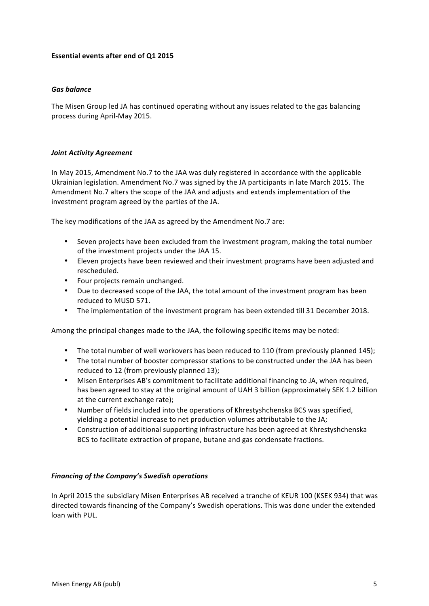# **Essential events after end of Q1 2015**

## *Gas balance*

The Misen Group led JA has continued operating without any issues related to the gas balancing process during April-May 2015.

# **Joint Activity Agreement**

In May 2015, Amendment No.7 to the JAA was duly registered in accordance with the applicable Ukrainian legislation. Amendment No.7 was signed by the JA participants in late March 2015. The Amendment No.7 alters the scope of the JAA and adjusts and extends implementation of the investment program agreed by the parties of the JA.

The key modifications of the JAA as agreed by the Amendment No.7 are:

- Seven projects have been excluded from the investment program, making the total number of the investment projects under the JAA 15.
- Eleven projects have been reviewed and their investment programs have been adjusted and rescheduled.
- Four projects remain unchanged.
- Due to decreased scope of the JAA, the total amount of the investment program has been reduced to MUSD 571.
- The implementation of the investment program has been extended till 31 December 2018.

Among the principal changes made to the JAA, the following specific items may be noted:

- The total number of well workovers has been reduced to 110 (from previously planned 145);
- The total number of booster compressor stations to be constructed under the JAA has been reduced to 12 (from previously planned 13);
- Misen Enterprises AB's commitment to facilitate additional financing to JA, when required, has been agreed to stay at the original amount of UAH 3 billion (approximately SEK 1.2 billion at the current exchange rate);
- Number of fields included into the operations of Khrestyshchenska BCS was specified. yielding a potential increase to net production volumes attributable to the JA;
- Construction of additional supporting infrastructure has been agreed at Khrestyshchenska BCS to facilitate extraction of propane, butane and gas condensate fractions.

## *Financing of the Company's Swedish operations*

In April 2015 the subsidiary Misen Enterprises AB received a tranche of KEUR 100 (KSEK 934) that was directed towards financing of the Company's Swedish operations. This was done under the extended loan with PUL.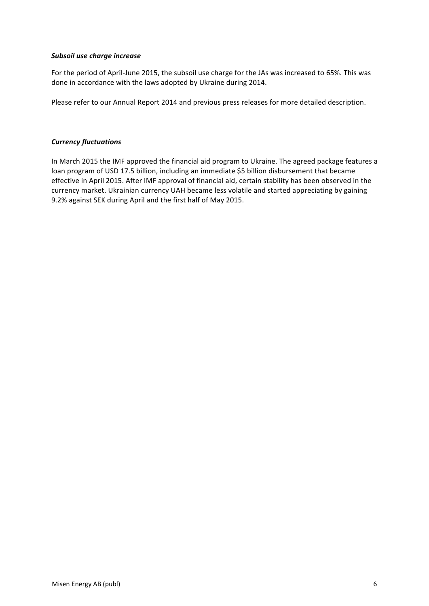## *Subsoil use charge increase*

For the period of April-June 2015, the subsoil use charge for the JAs was increased to 65%. This was done in accordance with the laws adopted by Ukraine during 2014.

Please refer to our Annual Report 2014 and previous press releases for more detailed description.

# *Currency fluctuations*

In March 2015 the IMF approved the financial aid program to Ukraine. The agreed package features a loan program of USD 17.5 billion, including an immediate \$5 billion disbursement that became effective in April 2015. After IMF approval of financial aid, certain stability has been observed in the currency market. Ukrainian currency UAH became less volatile and started appreciating by gaining 9.2% against SEK during April and the first half of May 2015.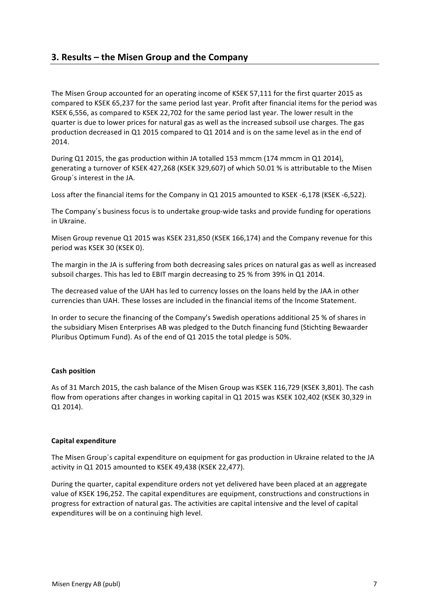# **3. Results – the Misen Group and the Company**

The Misen Group accounted for an operating income of KSEK 57,111 for the first quarter 2015 as compared to KSEK 65,237 for the same period last year. Profit after financial items for the period was KSEK 6,556, as compared to KSEK 22,702 for the same period last year. The lower result in the quarter is due to lower prices for natural gas as well as the increased subsoil use charges. The gas production decreased in Q1 2015 compared to Q1 2014 and is on the same level as in the end of 2014.

During Q1 2015, the gas production within JA totalled 153 mmcm (174 mmcm in Q1 2014), generating a turnover of KSEK 427,268 (KSEK 329,607) of which 50.01 % is attributable to the Misen Group's interest in the JA.

Loss after the financial items for the Company in Q1 2015 amounted to KSEK -6,178 (KSEK -6,522).

The Company's business focus is to undertake group-wide tasks and provide funding for operations in Ukraine.

Misen Group revenue Q1 2015 was KSEK 231,850 (KSEK 166,174) and the Company revenue for this period was KSEK 30 (KSEK 0).

The margin in the JA is suffering from both decreasing sales prices on natural gas as well as increased subsoil charges. This has led to EBIT margin decreasing to 25 % from 39% in Q1 2014.

The decreased value of the UAH has led to currency losses on the loans held by the JAA in other currencies than UAH. These losses are included in the financial items of the Income Statement.

In order to secure the financing of the Company's Swedish operations additional 25 % of shares in the subsidiary Misen Enterprises AB was pledged to the Dutch financing fund (Stichting Bewaarder Pluribus Optimum Fund). As of the end of Q1 2015 the total pledge is 50%.

## **Cash position**

As of 31 March 2015, the cash balance of the Misen Group was KSEK 116,729 (KSEK 3,801). The cash flow from operations after changes in working capital in Q1 2015 was KSEK 102,402 (KSEK 30,329 in Q1 2014). 

#### **Capital expenditure**

The Misen Group's capital expenditure on equipment for gas production in Ukraine related to the JA activity in Q1 2015 amounted to KSEK 49,438 (KSEK 22,477).

During the quarter, capital expenditure orders not yet delivered have been placed at an aggregate value of KSEK 196,252. The capital expenditures are equipment, constructions and constructions in progress for extraction of natural gas. The activities are capital intensive and the level of capital expenditures will be on a continuing high level.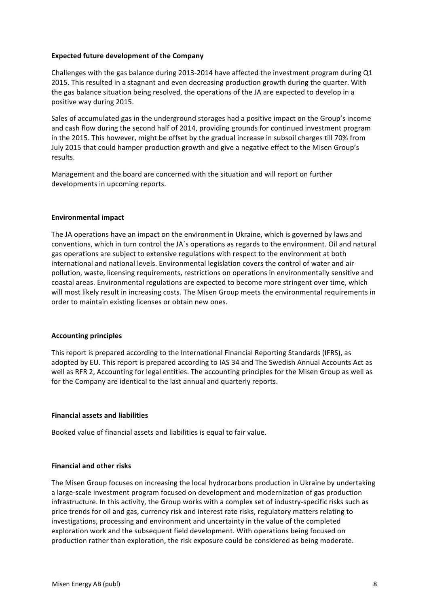#### **Expected future development of the Company**

Challenges with the gas balance during 2013-2014 have affected the investment program during Q1 2015. This resulted in a stagnant and even decreasing production growth during the quarter. With the gas balance situation being resolved, the operations of the JA are expected to develop in a positive way during 2015.

Sales of accumulated gas in the underground storages had a positive impact on the Group's income and cash flow during the second half of 2014, providing grounds for continued investment program in the 2015. This however, might be offset by the gradual increase in subsoil charges till 70% from July 2015 that could hamper production growth and give a negative effect to the Misen Group's results. 

Management and the board are concerned with the situation and will report on further developments in upcoming reports.

#### **Environmental impact**

The JA operations have an impact on the environment in Ukraine, which is governed by laws and conventions, which in turn control the JA's operations as regards to the environment. Oil and natural gas operations are subject to extensive regulations with respect to the environment at both international and national levels. Environmental legislation covers the control of water and air pollution, waste, licensing requirements, restrictions on operations in environmentally sensitive and coastal areas. Environmental regulations are expected to become more stringent over time, which will most likely result in increasing costs. The Misen Group meets the environmental requirements in order to maintain existing licenses or obtain new ones.

## **Accounting principles**

This report is prepared according to the International Financial Reporting Standards (IFRS), as adopted by EU. This report is prepared according to IAS 34 and The Swedish Annual Accounts Act as well as RFR 2, Accounting for legal entities. The accounting principles for the Misen Group as well as for the Company are identical to the last annual and quarterly reports.

## **Financial assets and liabilities**

Booked value of financial assets and liabilities is equal to fair value.

## **Financial and other risks**

The Misen Group focuses on increasing the local hydrocarbons production in Ukraine by undertaking a large-scale investment program focused on development and modernization of gas production infrastructure. In this activity, the Group works with a complex set of industry-specific risks such as price trends for oil and gas, currency risk and interest rate risks, regulatory matters relating to investigations, processing and environment and uncertainty in the value of the completed exploration work and the subsequent field development. With operations being focused on production rather than exploration, the risk exposure could be considered as being moderate.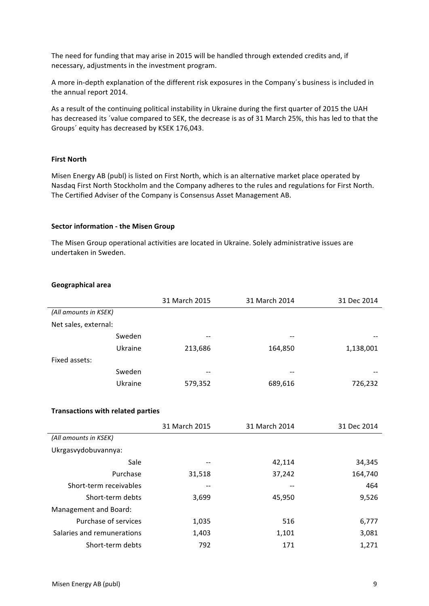The need for funding that may arise in 2015 will be handled through extended credits and, if necessary, adjustments in the investment program.

A more in-depth explanation of the different risk exposures in the Company's business is included in the annual report 2014.

As a result of the continuing political instability in Ukraine during the first quarter of 2015 the UAH has decreased its 'value compared to SEK, the decrease is as of 31 March 25%, this has led to that the Groups' equity has decreased by KSEK 176,043.

#### **First North**

Misen Energy AB (publ) is listed on First North, which is an alternative market place operated by Nasdaq First North Stockholm and the Company adheres to the rules and regulations for First North. The Certified Adviser of the Company is Consensus Asset Management AB.

#### **Sector information - the Misen Group**

The Misen Group operational activities are located in Ukraine. Solely administrative issues are undertaken in Sweden.

#### **Geographical area**

|                                          | 31 March 2015 | 31 March 2014 | 31 Dec 2014 |
|------------------------------------------|---------------|---------------|-------------|
| (All amounts in KSEK)                    |               |               |             |
| Net sales, external:                     |               |               |             |
| Sweden                                   |               |               |             |
| Ukraine                                  | 213,686       | 164,850       | 1,138,001   |
| Fixed assets:                            |               |               |             |
| Sweden                                   |               |               |             |
| Ukraine                                  | 579,352       | 689,616       | 726,232     |
|                                          |               |               |             |
| <b>Transactions with related parties</b> |               |               |             |
|                                          | 31 March 2015 | 31 March 2014 | 31 Dec 2014 |
| (All amounts in KSEK)                    |               |               |             |
| Ukrgasvydobuvannya:                      |               |               |             |
| Sale                                     |               | 42,114        | 34,345      |
| Purchase                                 | 31,518        | 37,242        | 164,740     |
| Short-term receivables                   |               |               | 464         |
| Short-term debts                         | 3,699         | 45,950        | 9,526       |
| Management and Board:                    |               |               |             |
| Purchase of services                     | 1,035         | 516           | 6,777       |
| Salaries and remunerations               | 1,403         | 1,101         | 3,081       |
| Short-term debts                         | 792           | 171           | 1,271       |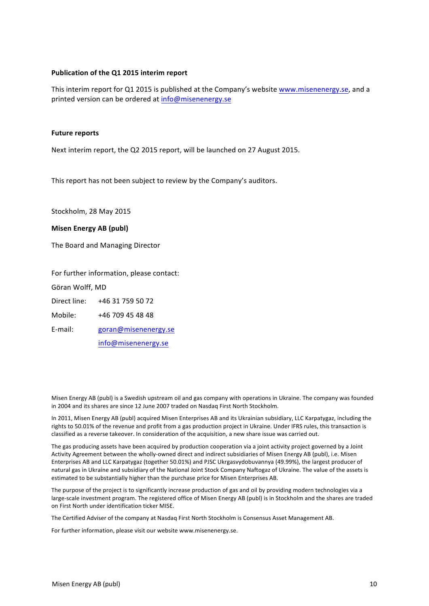#### **Publication of the Q1 2015 interim report**

This interim report for Q1 2015 is published at the Company's website www.misenenergy.se, and a printed version can be ordered at info@misenenergy.se

#### **Future reports**

Next interim report, the Q2 2015 report, will be launched on 27 August 2015.

This report has not been subject to review by the Company's auditors.

Stockholm, 28 May 2015

#### **Misen Energy AB (publ)**

The Board and Managing Director

For further information, please contact:

Göran Wolff, MD

Direct line: +46 31 759 50 72

Mobile: +46 709 45 48 48

E-mail: goran@misenenergy.se

info@misenenergy.se

Misen Energy AB (publ) is a Swedish upstream oil and gas company with operations in Ukraine. The company was founded in 2004 and its shares are since 12 June 2007 traded on Nasdaq First North Stockholm.

In 2011, Misen Energy AB (publ) acquired Misen Enterprises AB and its Ukrainian subsidiary, LLC Karpatygaz, including the rights to 50.01% of the revenue and profit from a gas production project in Ukraine. Under IFRS rules, this transaction is classified as a reverse takeover. In consideration of the acquisition, a new share issue was carried out.

The gas producing assets have been acquired by production cooperation via a joint activity project governed by a Joint Activity Agreement between the wholly-owned direct and indirect subsidiaries of Misen Energy AB (publ), i.e. Misen Enterprises AB and LLC Karpatygaz (together 50.01%) and PJSC Ukrgasvydobuvannya (49.99%), the largest producer of natural gas in Ukraine and subsidiary of the National Joint Stock Company Naftogaz of Ukraine. The value of the assets is estimated to be substantially higher than the purchase price for Misen Enterprises AB.

The purpose of the project is to significantly increase production of gas and oil by providing modern technologies via a large-scale investment program. The registered office of Misen Energy AB (publ) is in Stockholm and the shares are traded on First North under identification ticker MISE.

The Certified Adviser of the company at Nasdaq First North Stockholm is Consensus Asset Management AB.

For further information, please visit our website www.misenenergy.se.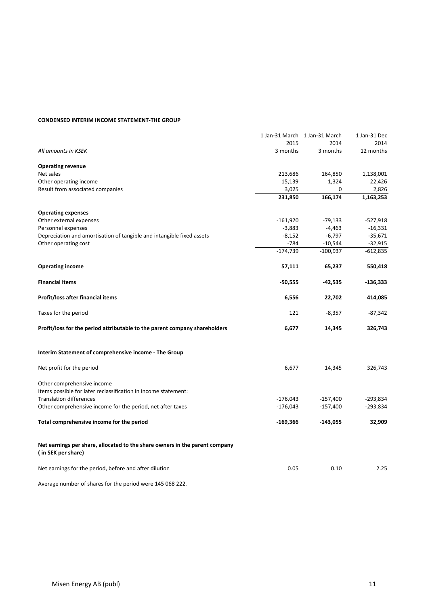#### **CONDENSED INTERIM INCOME STATEMENT-THE GROUP**

|                                                                                                   |                  | 1 Jan-31 March 1 Jan-31 March<br>2014 | 1 Jan-31 Dec      |
|---------------------------------------------------------------------------------------------------|------------------|---------------------------------------|-------------------|
| All amounts in KSEK                                                                               | 2015<br>3 months | 3 months                              | 2014<br>12 months |
|                                                                                                   |                  |                                       |                   |
| <b>Operating revenue</b>                                                                          |                  |                                       |                   |
| Net sales                                                                                         | 213,686          | 164,850                               | 1,138,001         |
| Other operating income                                                                            | 15,139           | 1,324                                 | 22,426            |
| Result from associated companies                                                                  | 3,025            | 0                                     | 2,826             |
|                                                                                                   | 231,850          | 166,174                               | 1,163,253         |
| <b>Operating expenses</b>                                                                         |                  |                                       |                   |
| Other external expenses                                                                           | $-161,920$       | -79,133                               | $-527,918$        |
| Personnel expenses                                                                                | $-3,883$         | $-4,463$                              | $-16,331$         |
| Depreciation and amortisation of tangible and intangible fixed assets                             | $-8,152$         | $-6,797$                              | $-35,671$         |
| Other operating cost                                                                              | $-784$           | $-10,544$                             | $-32,915$         |
|                                                                                                   | $-174,739$       | $-100,937$                            | $-612,835$        |
| <b>Operating income</b>                                                                           | 57,111           | 65,237                                | 550,418           |
| <b>Financial items</b>                                                                            | $-50,555$        | -42,535                               | $-136,333$        |
| Profit/loss after financial items                                                                 | 6,556            | 22,702                                | 414,085           |
| Taxes for the period                                                                              | 121              | $-8,357$                              | -87,342           |
| Profit/loss for the period attributable to the parent company shareholders                        | 6,677            | 14,345                                | 326,743           |
| Interim Statement of comprehensive income - The Group                                             |                  |                                       |                   |
| Net profit for the period                                                                         | 6,677            | 14,345                                | 326,743           |
| Other comprehensive income<br>Items possible for later reclassification in income statement:      |                  |                                       |                   |
| <b>Translation differences</b>                                                                    | $-176,043$       | $-157,400$                            | $-293,834$        |
| Other comprehensive income for the period, net after taxes                                        | $-176,043$       | $-157,400$                            | $-293,834$        |
| Total comprehensive income for the period                                                         | -169,366         | $-143,055$                            | 32,909            |
| Net earnings per share, allocated to the share owners in the parent company<br>(in SEK per share) |                  |                                       |                   |
| Net earnings for the period, before and after dilution                                            | 0.05             | 0.10                                  | 2.25              |

Average number of shares for the period were 145 068 222.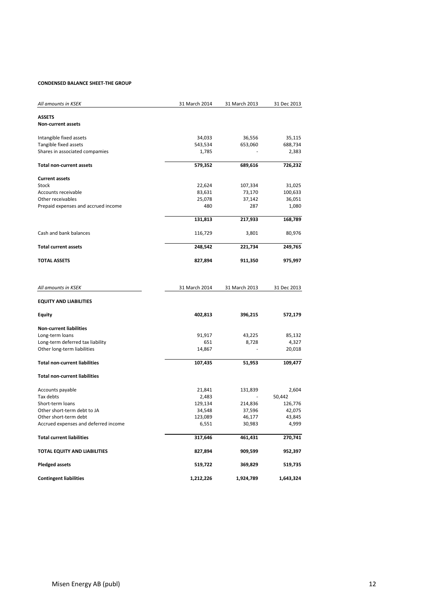#### **CONDENSED BALANCE SHEET-THE GROUP**

| All amounts in KSEK                        | 31 March 2014 | 31 March 2013 | 31 Dec 2013 |
|--------------------------------------------|---------------|---------------|-------------|
| <b>ASSETS</b><br><b>Non-current assets</b> |               |               |             |
|                                            |               |               |             |
| Intangible fixed assets                    | 34,033        | 36,556        | 35,115      |
| Tangible fixed assets                      | 543,534       | 653,060       | 688,734     |
| Shares in associated compamies             | 1,785         |               | 2,383       |
| <b>Total non-current assets</b>            | 579,352       | 689,616       | 726,232     |
| <b>Current assets</b>                      |               |               |             |
| Stock                                      | 22,624        | 107,334       | 31,025      |
| Accounts receivable                        | 83,631        | 73,170        | 100,633     |
| Other receivables                          | 25,078        | 37,142        | 36,051      |
| Prepaid expenses and accrued income        | 480           | 287           | 1,080       |
|                                            | 131,813       | 217,933       | 168,789     |
| Cash and bank balances                     | 116,729       | 3,801         | 80,976      |
| <b>Total current assets</b>                | 248,542       | 221,734       | 249,765     |
| <b>TOTAL ASSETS</b>                        | 827,894       | 911,350       | 975,997     |
| All amounts in KSEK                        | 31 March 2014 | 31 March 2013 | 31 Dec 2013 |
| <b>EQUITY AND LIABILITIES</b>              |               |               |             |
| <b>Equity</b>                              | 402,813       | 396,215       | 572,179     |
| <b>Non-current liabilities</b>             |               |               |             |
| Long-term loans                            | 91,917        | 43,225        | 85,132      |
| Long-term deferred tax liability           | 651           | 8,728         | 4,327       |
| Other long-term liabilities                | 14,867        |               | 20,018      |
| <b>Total non-current liabilities</b>       | 107,435       | 51,953        | 109,477     |
| <b>Total non-current liabilities</b>       |               |               |             |
| Accounts payable                           | 21,841        | 131,839       | 2,604       |
| Tax debts                                  | 2,483         |               | 50,442      |
| Short-term loans                           | 129,134       | 214,836       | 126,776     |
| Other short-term debt to JA                | 34,548        | 37,596        | 42,075      |
| Other short-term debt                      | 123,089       | 46,177        | 43,845      |
| Accrued expenses and deferred income       | 6,551         | 30,983        | 4,999       |
| <b>Total current liabilities</b>           | 317,646       | 461,431       | 270,741     |
| TOTAL EQUITY AND LIABILITIES               | 827,894       | 909,599       | 952,397     |
| <b>Pledged assets</b>                      | 519,722       | 369,829       | 519,735     |
| <b>Contingent liabilities</b>              | 1,212,226     | 1,924,789     | 1,643,324   |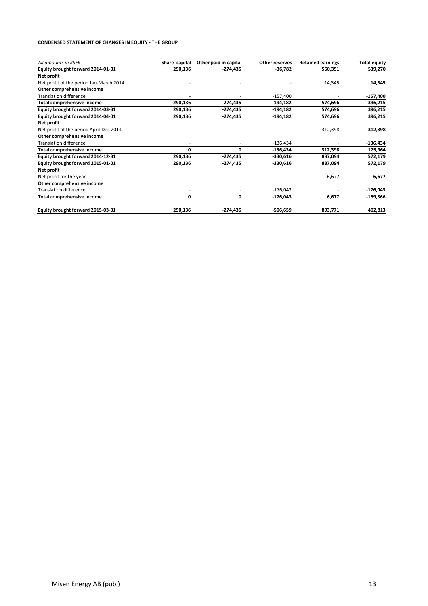#### **CONDENSED STATEMENT OF CHANGES IN EQUITY - THE GROUP**

| All amounts in KSEK                     | Share capital | Other paid in capital | <b>Other reserves</b> | <b>Retained earnings</b> | <b>Total equity</b> |
|-----------------------------------------|---------------|-----------------------|-----------------------|--------------------------|---------------------|
| Equity brought forward 2014-01-01       | 290,136       | $-274,435$            | $-36,782$             | 560,351                  | 539,270             |
| Net profit                              |               |                       |                       |                          |                     |
| Net profit of the period Jan-March 2014 |               |                       |                       | 14,345                   | 14,345              |
| Other comprehensive income              |               |                       |                       |                          |                     |
| <b>Translation difference</b>           |               |                       | $-157,400$            |                          | $-157,400$          |
| Total comprehensive income              | 290,136       | -274,435              | -194,182              | 574,696                  | 396,215             |
| Equity brought forward 2014-03-31       | 290,136       | $-274,435$            | $-194,182$            | 574,696                  | 396,215             |
| Equity brought forward 2014-04-01       | 290,136       | -274,435              | $-194,182$            | 574,696                  | 396,215             |
| Net profit                              |               |                       |                       |                          |                     |
| Net profit of the period April-Dec 2014 |               |                       |                       | 312,398                  | 312,398             |
| Other comprehensive income              |               |                       |                       |                          |                     |
| <b>Translation difference</b>           |               |                       | $-136,434$            |                          | $-136,434$          |
| <b>Total comprehensive income</b>       | $\mathbf 0$   | 0                     | $-136,434$            | 312,398                  | 175,964             |
| Equity brought forward 2014-12-31       | 290,136       | $-274,435$            | $-330,616$            | 887,094                  | 572,179             |
| Equity brought forward 2015-01-01       | 290,136       | $-274,435$            | $-330,616$            | 887,094                  | 572,179             |
| Net profit                              |               |                       |                       |                          |                     |
| Net profit for the year                 |               |                       |                       | 6,677                    | 6,677               |
| Other comprehensive income              |               |                       |                       |                          |                     |
| <b>Translation difference</b>           |               |                       | $-176,043$            |                          | $-176,043$          |
| <b>Total comprehensive income</b>       | 0             | 0                     | $-176,043$            | 6,677                    | $-169,366$          |
| Equity brought forward 2015-03-31       | 290,136       | $-274,435$            | $-506,659$            | 893,771                  | 402,813             |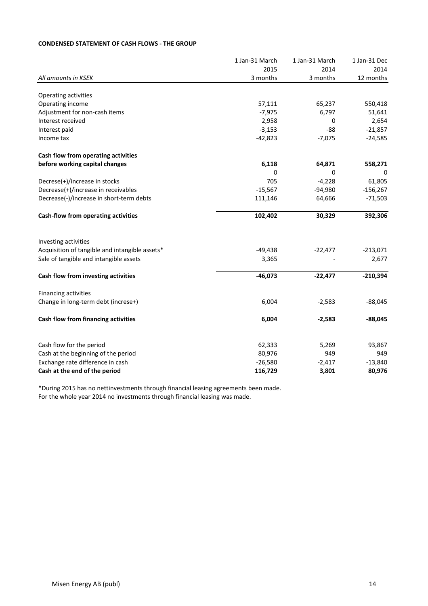# **CONDENSED STATEMENT OF CASH FLOWS - THE GROUP**

|                                                | 1 Jan-31 March | 1 Jan-31 March | 1 Jan-31 Dec |
|------------------------------------------------|----------------|----------------|--------------|
|                                                | 2015           | 2014           | 2014         |
| All amounts in KSEK                            | 3 months       | 3 months       | 12 months    |
| Operating activities                           |                |                |              |
| Operating income                               | 57,111         | 65,237         | 550,418      |
| Adjustment for non-cash items                  | $-7,975$       | 6,797          | 51,641       |
| Interest received                              | 2,958          | 0              | 2,654        |
| Interest paid                                  | $-3,153$       | $-88$          | $-21,857$    |
| Income tax                                     | $-42,823$      | $-7,075$       | $-24,585$    |
| Cash flow from operating activities            |                |                |              |
| before working capital changes                 | 6,118          | 64,871         | 558,271      |
|                                                | 0              | 0              | 0            |
| Decrese(+)/increase in stocks                  | 705            | $-4,228$       | 61,805       |
| Decrease(+)/increase in receivables            | $-15,567$      | $-94,980$      | $-156,267$   |
| Decrease(-)/increase in short-term debts       | 111,146        | 64,666         | $-71,503$    |
| Cash-flow from operating activities            | 102,402        | 30,329         | 392,306      |
| Investing activities                           |                |                |              |
| Acquisition of tangible and intangible assets* | $-49,438$      | $-22,477$      | $-213,071$   |
| Sale of tangible and intangible assets         | 3,365          |                | 2,677        |
| Cash flow from investing activities            | $-46,073$      | $-22,477$      | $-210,394$   |
| Financing activities                           |                |                |              |
| Change in long-term debt (increse+)            | 6,004          | $-2,583$       | $-88,045$    |
| Cash flow from financing activities            | 6,004          | $-2,583$       | $-88,045$    |
| Cash flow for the period                       | 62,333         | 5,269          | 93,867       |
| Cash at the beginning of the period            | 80,976         | 949            | 949          |
| Exchange rate difference in cash               | $-26,580$      | $-2,417$       | $-13,840$    |
| Cash at the end of the period                  | 116,729        | 3,801          | 80,976       |

\*During 2015 has no nettinvestments through financial leasing agreements been made. For the whole year 2014 no investments through financial leasing was made.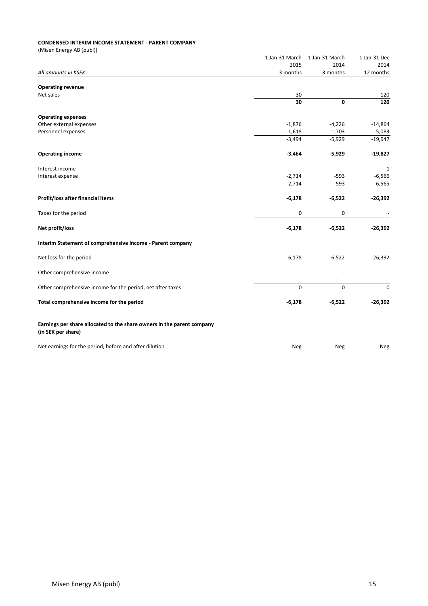#### **CONDENSED INTERIM INCOME STATEMENT - PARENT COMPANY**

|                                                                        | 1 Jan-31 March | 1 Jan-31 March | 1 Jan-31 Dec     |
|------------------------------------------------------------------------|----------------|----------------|------------------|
|                                                                        | 2015           | 2014           | 2014             |
| All amounts in KSEK                                                    | 3 months       | 3 months       | 12 months        |
| <b>Operating revenue</b>                                               |                |                |                  |
| Net sales                                                              | 30             |                | 120              |
|                                                                        | 30             | 0              | 120              |
|                                                                        |                |                |                  |
| <b>Operating expenses</b>                                              |                |                |                  |
| Other external expenses                                                | $-1,876$       | $-4,226$       | $-14,864$        |
| Personnel expenses                                                     | $-1,618$       | $-1,703$       | $-5,083$         |
|                                                                        | $-3,494$       | $-5,929$       | $-19,947$        |
|                                                                        |                |                |                  |
| <b>Operating income</b>                                                | $-3,464$       | $-5,929$       | $-19,827$        |
| Interest income                                                        |                |                | 1                |
| Interest expense                                                       | $-2,714$       | $-593$         | $-6,566$         |
|                                                                        | $-2,714$       | $-593$         | $-6,565$         |
|                                                                        |                |                |                  |
| Profit/loss after financial items                                      | $-6,178$       | $-6,522$       | $-26,392$        |
| Taxes for the period                                                   | 0              | 0              |                  |
| Net profit/loss                                                        | $-6,178$       | $-6,522$       | $-26,392$        |
| Interim Statement of comprehensive income - Parent company             |                |                |                  |
|                                                                        |                |                |                  |
| Net loss for the period                                                | $-6,178$       | $-6,522$       | $-26,392$        |
| Other comprehensive income                                             |                |                |                  |
| Other comprehensive income for the period, net after taxes             | $\mathbf 0$    | $\mathbf 0$    | $\boldsymbol{0}$ |
|                                                                        |                |                |                  |
| Total comprehensive income for the period                              | $-6,178$       | $-6,522$       | $-26,392$        |
| Earnings per share allocated to the share owners in the parent company |                |                |                  |
| (in SEK per share)                                                     |                |                |                  |
| Net earnings for the period, before and after dilution                 | Neg            | Neg            | Neg              |
|                                                                        |                |                |                  |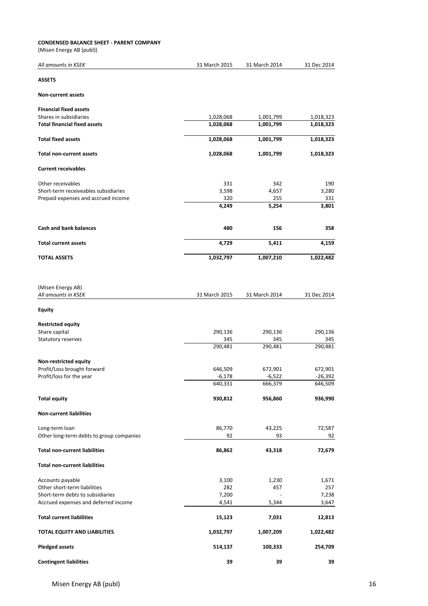#### **CONDENSED BALANCE SHEET - PARENT COMPANY**

| All amounts in KSEK                                     | 31 March 2015  | 31 March 2014  | 31 Dec 2014    |
|---------------------------------------------------------|----------------|----------------|----------------|
| <b>ASSETS</b>                                           |                |                |                |
| <b>Non-current assets</b>                               |                |                |                |
| <b>Financial fixed assets</b><br>Shares in subsidiaries | 1,028,068      | 1,001,799      | 1,018,323      |
| <b>Total financial fixed assets</b>                     | 1,028,068      | 1,001,799      | 1,018,323      |
| <b>Total fixed assets</b>                               | 1,028,068      | 1,001,799      | 1,018,323      |
| <b>Total non-current assets</b>                         | 1,028,068      | 1,001,799      | 1,018,323      |
| <b>Current receivables</b>                              |                |                |                |
| Other receivables                                       | 331            | 342            | 190            |
| Short-term receiveables subsidiaries                    | 3,598          | 4,657          | 3,280          |
| Prepaid expenses and accrued income                     | 320<br>4,249   | 255<br>5,254   | 331<br>3,801   |
|                                                         |                |                |                |
| Cash and bank balances                                  | 480            | 156            | 358            |
| <b>Total current assets</b>                             | 4,729          | 5,411          | 4,159          |
| <b>TOTAL ASSETS</b>                                     | 1,032,797      | 1,007,210      | 1,022,482      |
|                                                         |                |                |                |
| (Misen Energy AB)<br>All amounts in KSEK                | 31 March 2015  | 31 March 2014  | 31 Dec 2014    |
| <b>Equity</b>                                           |                |                |                |
| <b>Restricted equity</b>                                |                |                |                |
| Share capital                                           | 290,136        | 290,136        | 290,136        |
| Statutory reserves                                      | 345<br>290,481 | 345<br>290,481 | 345<br>290,481 |
| Non-restricted equity                                   |                |                |                |
| Profit/Loss brought forward                             | 646,509        | 672,901        | 672,901        |
| Profit/loss for the year                                | $-6,178$       | $-6,522$       | -26,392        |
|                                                         | 640,331        | 666,379        | 646,509        |
| <b>Total equity</b>                                     | 930,812        | 956,860        | 936,990        |
| <b>Non-current liabilities</b>                          |                |                |                |
| Long-term loan                                          | 86,770         | 43,225         | 72,587         |
| Other long-term debts to group companies                | 92             | 93             | 92             |
| <b>Total non-current liabilities</b>                    | 86,862         | 43,318         | 72,679         |
| <b>Total non-current liabilities</b>                    |                |                |                |
| Accounts payable                                        | 3,100          | 1,230          | 1,671          |
| Other short-term liabilities                            | 282            | 457            | 257            |
| Short-term debts to subsidiaries                        | 7,200          |                | 7,238          |
| Accrued expenses and deferred income                    | 4,541          | 5,344          | 3,647          |
| <b>Total current liabilities</b>                        | 15,123         | 7,031          | 12,813         |
| <b>TOTAL EQUITY AND LIABILITIES</b>                     | 1,032,797      | 1,007,209      | 1,022,482      |
| <b>Pledged assets</b>                                   | 514,137        | 100,333        | 254,709        |
| <b>Contingent liabilities</b>                           | 39             | 39             | 39             |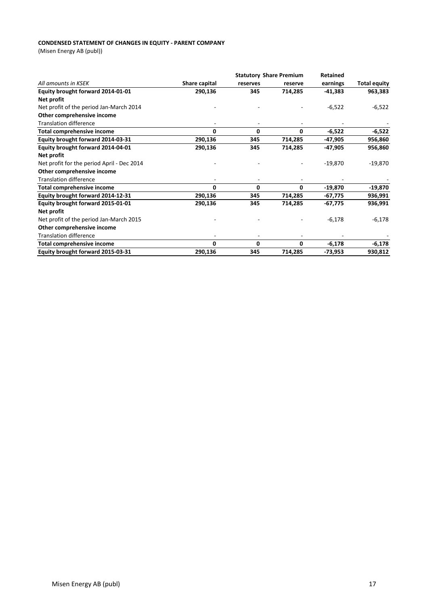#### **CONDENSED STATEMENT OF CHANGES IN EQUITY - PARENT COMPANY**

|                                            |               | <b>Statutory Share Premium</b> |              | Retained  |                     |
|--------------------------------------------|---------------|--------------------------------|--------------|-----------|---------------------|
| All amounts in KSEK                        | Share capital | reserves                       | reserve      | earnings  | <b>Total equity</b> |
| Equity brought forward 2014-01-01          | 290,136       | 345                            | 714,285      | $-41,383$ | 963,383             |
| Net profit                                 |               |                                |              |           |                     |
| Net profit of the period Jan-March 2014    |               |                                |              | $-6,522$  | $-6,522$            |
| Other comprehensive income                 |               |                                |              |           |                     |
| <b>Translation difference</b>              |               |                                |              |           |                     |
| <b>Total comprehensive income</b>          | 0             | 0                              | 0            | $-6,522$  | $-6,522$            |
| Equity brought forward 2014-03-31          | 290,136       | 345                            | 714,285      | $-47,905$ | 956,860             |
| Equity brought forward 2014-04-01          | 290,136       | 345                            | 714,285      | $-47,905$ | 956,860             |
| Net profit                                 |               |                                |              |           |                     |
| Net profit for the period April - Dec 2014 |               |                                |              | $-19,870$ | $-19,870$           |
| Other comprehensive income                 |               |                                |              |           |                     |
| <b>Translation difference</b>              |               |                                |              |           |                     |
| Total comprehensive income                 | 0             | 0                              | 0            | $-19,870$ | $-19,870$           |
| Equity brought forward 2014-12-31          | 290,136       | 345                            | 714,285      | $-67,775$ | 936,991             |
| Equity brought forward 2015-01-01          | 290,136       | 345                            | 714,285      | $-67,775$ | 936,991             |
| Net profit                                 |               |                                |              |           |                     |
| Net profit of the period Jan-March 2015    |               |                                |              | $-6,178$  | $-6,178$            |
| Other comprehensive income                 |               |                                |              |           |                     |
| <b>Translation difference</b>              |               |                                |              |           |                     |
| <b>Total comprehensive income</b>          | 0             | 0                              | $\mathbf{0}$ | $-6,178$  | $-6,178$            |
| Equity brought forward 2015-03-31          | 290,136       | 345                            | 714,285      | $-73,953$ | 930,812             |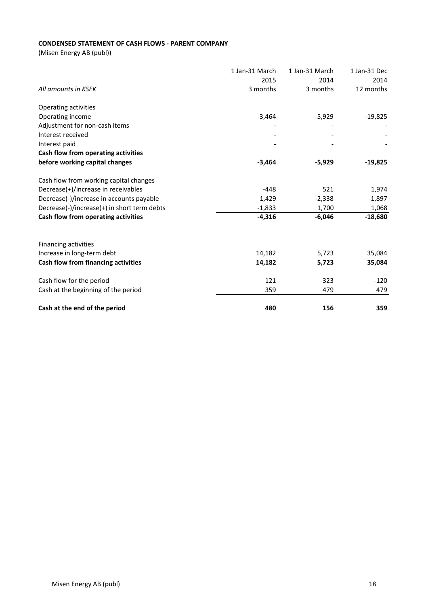# **CONDENSED STATEMENT OF CASH FLOWS - PARENT COMPANY**

|                                             | 1 Jan-31 March | 1 Jan-31 March | 1 Jan-31 Dec |
|---------------------------------------------|----------------|----------------|--------------|
|                                             | 2015           | 2014           | 2014         |
| All amounts in KSEK                         | 3 months       | 3 months       | 12 months    |
| Operating activities                        |                |                |              |
| Operating income                            | $-3,464$       | $-5,929$       | $-19,825$    |
| Adjustment for non-cash items               |                |                |              |
| Interest received                           |                |                |              |
| Interest paid                               |                |                |              |
| Cash flow from operating activities         |                |                |              |
| before working capital changes              | $-3,464$       | $-5,929$       | $-19,825$    |
| Cash flow from working capital changes      |                |                |              |
| Decrease(+)/increase in receivables         | $-448$         | 521            | 1,974        |
| Decrease(-)/increase in accounts payable    | 1,429          | $-2,338$       | $-1,897$     |
| Decrease(-)/increase(+) in short term debts | $-1,833$       | 1,700          | 1,068        |
| Cash flow from operating activities         | $-4,316$       | $-6,046$       | $-18,680$    |
|                                             |                |                |              |
| Financing activities                        |                |                |              |
| Increase in long-term debt                  | 14,182         | 5,723          | 35,084       |
| Cash flow from financing activities         | 14,182         | 5,723          | 35,084       |
| Cash flow for the period                    | 121            | $-323$         | $-120$       |
| Cash at the beginning of the period         | 359            | 479            | 479          |
| Cash at the end of the period               | 480            | 156            | 359          |